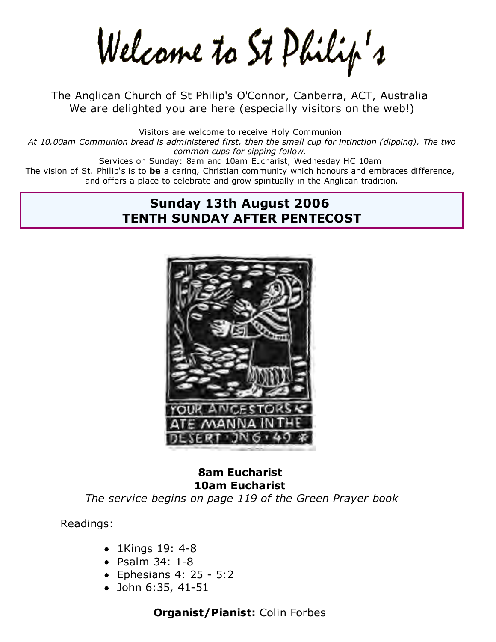Welcame to St Philip's

The Anglican Church of St Philip's O'Connor, Canberra, ACT, Australia We are delighted you are here (especially visitors on the web!)

Visitors are welcome to receive Holy Communion *At 10.00am Communion bread is administered first, then the small cup for intinction (dipping). The two common cups for sipping follow.* Services on Sunday: 8am and 10am Eucharist, Wednesday HC 10am The vision of St. Philip's is to **be** a caring, Christian community which honours and embraces difference, and offers a place to celebrate and grow spiritually in the Anglican tradition.

#### **Sunday 13th August 2006 TENTH SUNDAY AFTER PENTECOST**



# **8am Eucharist 10am Eucharist**

*The service begins on page 119 of the Green Prayer book*

Readings:

- 1Kings 19: 4-8
- Psalm 34: 1-8
- $\bullet$  Ephesians 4: 25 5:2
- John 6:35, 41-51

**Organist/Pianist:** Colin Forbes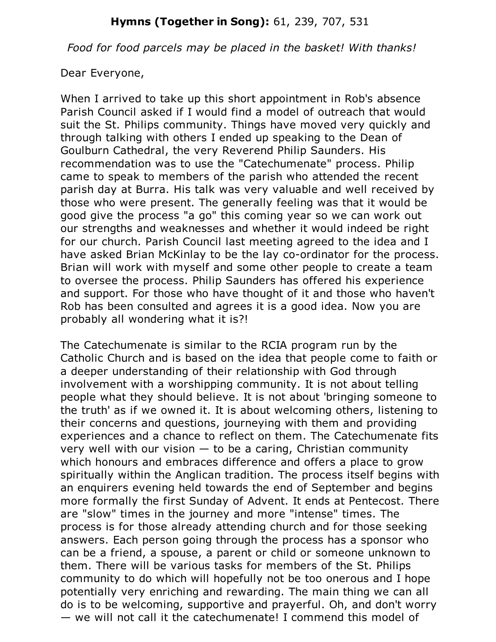#### **Hymns (Together in Song):** 61, 239, 707, 531

*Food for food parcels may be placed in the basket! With thanks!*

Dear Everyone,

When I arrived to take up this short appointment in Rob's absence Parish Council asked if I would find a model of outreach that would suit the St. Philips community. Things have moved very quickly and through talking with others I ended up speaking to the Dean of Goulburn Cathedral, the very Reverend Philip Saunders. His recommendation was to use the "Catechumenate" process. Philip came to speak to members of the parish who attended the recent parish day at Burra. His talk was very valuable and well received by those who were present. The generally feeling was that it would be good give the process "a go" this coming year so we can work out our strengths and weaknesses and whether it would indeed be right for our church. Parish Council last meeting agreed to the idea and I have asked Brian McKinlay to be the lay co-ordinator for the process. Brian will work with myself and some other people to create a team to oversee the process. Philip Saunders has offered his experience and support. For those who have thought of it and those who haven't Rob has been consulted and agrees it is a good idea. Now you are probably all wondering what it is?!

The Catechumenate is similar to the RCIA program run by the Catholic Church and is based on the idea that people come to faith or a deeper understanding of their relationship with God through involvement with a worshipping community. It is not about telling people what they should believe. It is not about 'bringing someone to the truth' as if we owned it. It is about welcoming others, listening to their concerns and questions, journeying with them and providing experiences and a chance to reflect on them. The Catechumenate fits very well with our vision  $-$  to be a caring, Christian community which honours and embraces difference and offers a place to grow spiritually within the Anglican tradition. The process itself begins with an enquirers evening held towards the end of September and begins more formally the first Sunday of Advent. It ends at Pentecost. There are "slow" times in the journey and more "intense" times. The process is for those already attending church and for those seeking answers. Each person going through the process has a sponsor who can be a friend, a spouse, a parent or child or someone unknown to them. There will be various tasks for members of the St. Philips community to do which will hopefully not be too onerous and I hope potentially very enriching and rewarding. The main thing we can all do is to be welcoming, supportive and prayerful. Oh, and don't worry — we will not call it the catechumenate! I commend this model of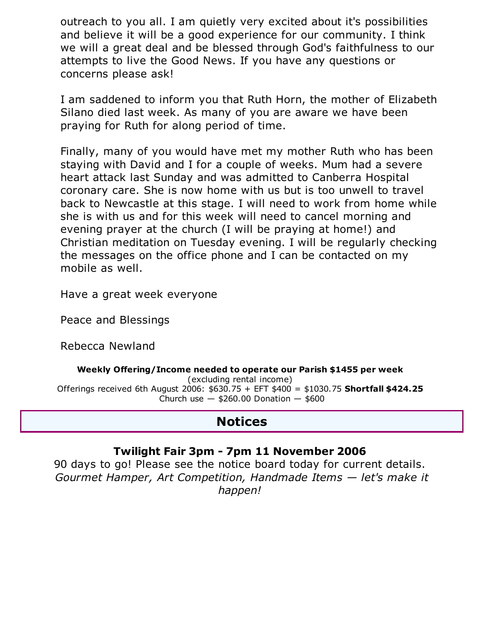outreach to you all. I am quietly very excited about it's possibilities and believe it will be a good experience for our community. I think we will a great deal and be blessed through God's faithfulness to our attempts to live the Good News. If you have any questions or concerns please ask!

I am saddened to inform you that Ruth Horn, the mother of Elizabeth Silano died last week. As many of you are aware we have been praying for Ruth for along period of time.

Finally, many of you would have met my mother Ruth who has been staying with David and I for a couple of weeks. Mum had a severe heart attack last Sunday and was admitted to Canberra Hospital coronary care. She is now home with us but is too unwell to travel back to Newcastle at this stage. I will need to work from home while she is with us and for this week will need to cancel morning and evening prayer at the church (I will be praying at home!) and Christian meditation on Tuesday evening. I will be regularly checking the messages on the office phone and I can be contacted on my mobile as well.

Have a great week everyone

Peace and Blessings

Rebecca Newland

#### **Weekly Offering/Income needed to operate our Parish \$1455 per week**

(excluding rental income) Offerings received 6th August 2006: \$630.75 + EFT \$400 = \$1030.75 **Shortfall \$424.25** Church use  $-$  \$260.00 Donation  $-$  \$600

### **Notices**

#### **Twilight Fair 3pm - 7pm 11 November 2006**

90 days to go! Please see the notice board today for current details. *Gourmet Hamper, Art Competition, Handmade Items — let's make it happen!*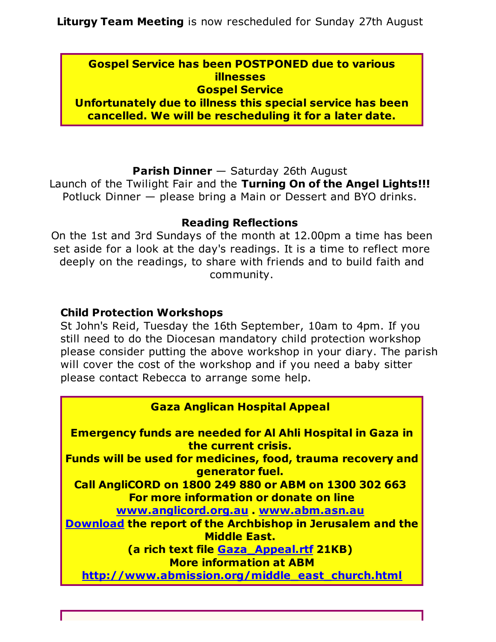**Gospel Service has been POSTPONED due to various illnesses Gospel Service**

**Unfortunately due to illness this special service has been cancelled. We will be rescheduling it for a later date.**

#### **Parish Dinner** — Saturday 26th August

Launch of the Twilight Fair and the **Turning On of the Angel Lights!!!** Potluck Dinner — please bring a Main or Dessert and BYO drinks.

#### **Reading Reflections**

On the 1st and 3rd Sundays of the month at 12.00pm a time has been set aside for a look at the day's readings. It is a time to reflect more deeply on the readings, to share with friends and to build faith and community.

#### **Child Protection Workshops**

St John's Reid, Tuesday the 16th September, 10am to 4pm. If you still need to do the Diocesan mandatory child protection workshop please consider putting the above workshop in your diary. The parish will cover the cost of the workshop and if you need a baby sitter please contact Rebecca to arrange some help.

#### **Gaza Anglican Hospital Appeal**

**Emergency funds are needed for Al Ahli Hospital in Gaza in the current crisis.** 

**Funds will be used for medicines, food, trauma recovery and generator fuel.** 

**Call AngliCORD on 1800 249 880 or ABM on 1300 302 663 For more information or donate on line**

**www.anglicord.org.au . www.abm.asn.au**

**Download the report of the Archbishop in Jerusalem and the Middle East.** 

**(a rich text file Gaza\_Appeal.rtf 21KB) More information at ABM**

**http://www.abmission.org/middle\_east\_church.html**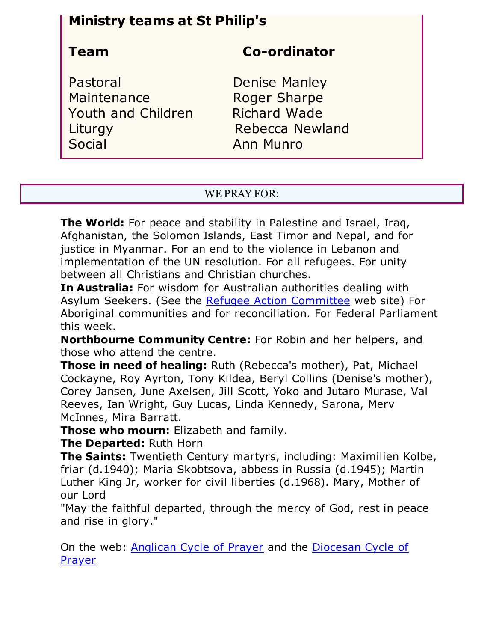## **Ministry teams at St Philip's**

## **Team Co-ordinator**

Pastoral Denise Manley Maintenance Roger Sharpe Youth and Children Richard Wade Liturgy **Rebecca Newland** Social **Anni Munro** 

#### WE PRAY FOR:

**The World:** For peace and stability in Palestine and Israel, Iraq, Afghanistan, the Solomon Islands, East Timor and Nepal, and for justice in Myanmar. For an end to the violence in Lebanon and implementation of the UN resolution. For all refugees. For unity between all Christians and Christian churches.

**In Australia:** For wisdom for Australian authorities dealing with Asylum Seekers. (See the Refugee Action Committee web site) For Aboriginal communities and for reconciliation. For Federal Parliament this week.

**Northbourne Community Centre:** For Robin and her helpers, and those who attend the centre.

**Those in need of healing:** Ruth (Rebecca's mother), Pat, Michael Cockayne, Roy Ayrton, Tony Kildea, Beryl Collins (Denise's mother), Corey Jansen, June Axelsen, Jill Scott, Yoko and Jutaro Murase, Val Reeves, Ian Wright, Guy Lucas, Linda Kennedy, Sarona, Merv McInnes, Mira Barratt.

**Those who mourn:** Elizabeth and family.

**The Departed:** Ruth Horn

**The Saints:** Twentieth Century martyrs, including: Maximilien Kolbe, friar (d.1940); Maria Skobtsova, abbess in Russia (d.1945); Martin Luther King Jr, worker for civil liberties (d.1968). Mary, Mother of our Lord

"May the faithful departed, through the mercy of God, rest in peace and rise in glory."

On the web: Anglican Cycle of Prayer and the Diocesan Cycle of Prayer